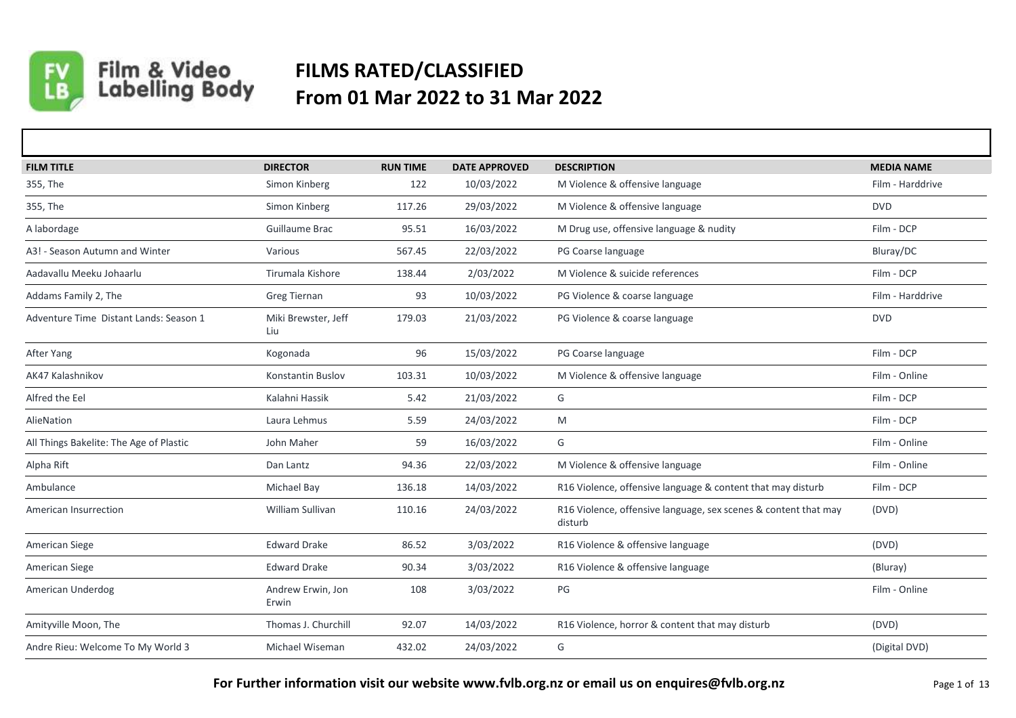

## Film & Video<br>Labelling Body **FILMS RATED/CLASSIFIED From 01 Mar 2022 to 31 Mar 2022**

| <b>FILM TITLE</b>                       | <b>DIRECTOR</b>            | <b>RUN TIME</b> | <b>DATE APPROVED</b> | <b>DESCRIPTION</b>                                                         | <b>MEDIA NAME</b> |
|-----------------------------------------|----------------------------|-----------------|----------------------|----------------------------------------------------------------------------|-------------------|
| 355, The                                | Simon Kinberg              | 122             | 10/03/2022           | M Violence & offensive language                                            | Film - Harddrive  |
| 355, The                                | Simon Kinberg              | 117.26          | 29/03/2022           | M Violence & offensive language                                            | <b>DVD</b>        |
| A labordage                             | Guillaume Brac             | 95.51           | 16/03/2022           | M Drug use, offensive language & nudity                                    | Film - DCP        |
| A3! - Season Autumn and Winter          | Various                    | 567.45          | 22/03/2022           | PG Coarse language                                                         | Bluray/DC         |
| Aadavallu Meeku Johaarlu                | Tirumala Kishore           | 138.44          | 2/03/2022            | M Violence & suicide references                                            | Film - DCP        |
| Addams Family 2, The                    | <b>Greg Tiernan</b>        | 93              | 10/03/2022           | PG Violence & coarse language                                              | Film - Harddrive  |
| Adventure Time Distant Lands: Season 1  | Miki Brewster, Jeff<br>Liu | 179.03          | 21/03/2022           | PG Violence & coarse language                                              | <b>DVD</b>        |
| After Yang                              | Kogonada                   | 96              | 15/03/2022           | PG Coarse language                                                         | Film - DCP        |
| AK47 Kalashnikov                        | <b>Konstantin Buslov</b>   | 103.31          | 10/03/2022           | M Violence & offensive language                                            | Film - Online     |
| Alfred the Eel                          | Kalahni Hassik             | 5.42            | 21/03/2022           | G                                                                          | Film - DCP        |
| AlieNation                              | Laura Lehmus               | 5.59            | 24/03/2022           | M                                                                          | Film - DCP        |
| All Things Bakelite: The Age of Plastic | John Maher                 | 59              | 16/03/2022           | G                                                                          | Film - Online     |
| Alpha Rift                              | Dan Lantz                  | 94.36           | 22/03/2022           | M Violence & offensive language                                            | Film - Online     |
| Ambulance                               | Michael Bay                | 136.18          | 14/03/2022           | R16 Violence, offensive language & content that may disturb                | Film - DCP        |
| American Insurrection                   | William Sullivan           | 110.16          | 24/03/2022           | R16 Violence, offensive language, sex scenes & content that may<br>disturb | (DVD)             |
| American Siege                          | <b>Edward Drake</b>        | 86.52           | 3/03/2022            | R16 Violence & offensive language                                          | (DVD)             |
| American Siege                          | <b>Edward Drake</b>        | 90.34           | 3/03/2022            | R16 Violence & offensive language                                          | (Bluray)          |
| American Underdog                       | Andrew Erwin, Jon<br>Erwin | 108             | 3/03/2022            | PG                                                                         | Film - Online     |
| Amityville Moon, The                    | Thomas J. Churchill        | 92.07           | 14/03/2022           | R16 Violence, horror & content that may disturb                            | (DVD)             |
| Andre Rieu: Welcome To My World 3       | Michael Wiseman            | 432.02          | 24/03/2022           | G                                                                          | (Digital DVD)     |

**For Further information visit our website www.fvlb.org.nz or email us on enquires@fvlb.org.nz** Page 1 of 13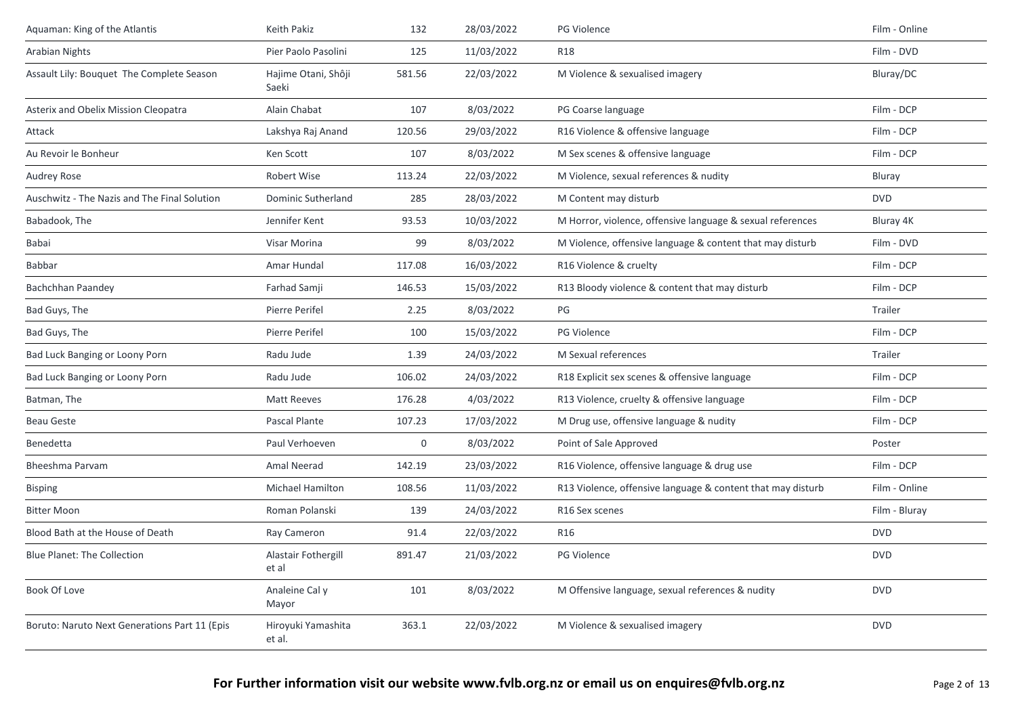| Aquaman: King of the Atlantis                 | Keith Pakiz                  | 132    | 28/03/2022 | PG Violence                                                 | Film - Online |
|-----------------------------------------------|------------------------------|--------|------------|-------------------------------------------------------------|---------------|
| <b>Arabian Nights</b>                         | Pier Paolo Pasolini          | 125    | 11/03/2022 | <b>R18</b>                                                  | Film - DVD    |
| Assault Lily: Bouquet The Complete Season     | Hajime Otani, Shôji<br>Saeki | 581.56 | 22/03/2022 | M Violence & sexualised imagery                             | Bluray/DC     |
| <b>Asterix and Obelix Mission Cleopatra</b>   | Alain Chabat                 | 107    | 8/03/2022  | PG Coarse language                                          | Film - DCP    |
| Attack                                        | Lakshya Raj Anand            | 120.56 | 29/03/2022 | R16 Violence & offensive language                           | Film - DCP    |
| Au Revoir le Bonheur                          | Ken Scott                    | 107    | 8/03/2022  | M Sex scenes & offensive language                           | Film - DCP    |
| Audrey Rose                                   | Robert Wise                  | 113.24 | 22/03/2022 | M Violence, sexual references & nudity                      | Bluray        |
| Auschwitz - The Nazis and The Final Solution  | Dominic Sutherland           | 285    | 28/03/2022 | M Content may disturb                                       | <b>DVD</b>    |
| Babadook, The                                 | Jennifer Kent                | 93.53  | 10/03/2022 | M Horror, violence, offensive language & sexual references  | Bluray 4K     |
| Babai                                         | Visar Morina                 | 99     | 8/03/2022  | M Violence, offensive language & content that may disturb   | Film - DVD    |
| Babbar                                        | Amar Hundal                  | 117.08 | 16/03/2022 | R16 Violence & cruelty                                      | Film - DCP    |
| Bachchhan Paandey                             | Farhad Samji                 | 146.53 | 15/03/2022 | R13 Bloody violence & content that may disturb              | Film - DCP    |
| Bad Guys, The                                 | Pierre Perifel               | 2.25   | 8/03/2022  | PG                                                          | Trailer       |
| Bad Guys, The                                 | Pierre Perifel               | 100    | 15/03/2022 | <b>PG Violence</b>                                          | Film - DCP    |
| Bad Luck Banging or Loony Porn                | Radu Jude                    | 1.39   | 24/03/2022 | M Sexual references                                         | Trailer       |
| Bad Luck Banging or Loony Porn                | Radu Jude                    | 106.02 | 24/03/2022 | R18 Explicit sex scenes & offensive language                | Film - DCP    |
| Batman, The                                   | <b>Matt Reeves</b>           | 176.28 | 4/03/2022  | R13 Violence, cruelty & offensive language                  | Film - DCP    |
| <b>Beau Geste</b>                             | Pascal Plante                | 107.23 | 17/03/2022 | M Drug use, offensive language & nudity                     | Film - DCP    |
| Benedetta                                     | Paul Verhoeven               | 0      | 8/03/2022  | Point of Sale Approved                                      | Poster        |
| Bheeshma Parvam                               | Amal Neerad                  | 142.19 | 23/03/2022 | R16 Violence, offensive language & drug use                 | Film - DCP    |
| <b>Bisping</b>                                | <b>Michael Hamilton</b>      | 108.56 | 11/03/2022 | R13 Violence, offensive language & content that may disturb | Film - Online |
| <b>Bitter Moon</b>                            | Roman Polanski               | 139    | 24/03/2022 | R <sub>16</sub> Sex scenes                                  | Film - Bluray |
| Blood Bath at the House of Death              | Ray Cameron                  | 91.4   | 22/03/2022 | R <sub>16</sub>                                             | <b>DVD</b>    |
| <b>Blue Planet: The Collection</b>            | Alastair Fothergill<br>et al | 891.47 | 21/03/2022 | <b>PG Violence</b>                                          | <b>DVD</b>    |
| Book Of Love                                  | Analeine Cal y<br>Mayor      | 101    | 8/03/2022  | M Offensive language, sexual references & nudity            | <b>DVD</b>    |
| Boruto: Naruto Next Generations Part 11 (Epis | Hiroyuki Yamashita<br>et al. | 363.1  | 22/03/2022 | M Violence & sexualised imagery                             | <b>DVD</b>    |
|                                               |                              |        |            |                                                             |               |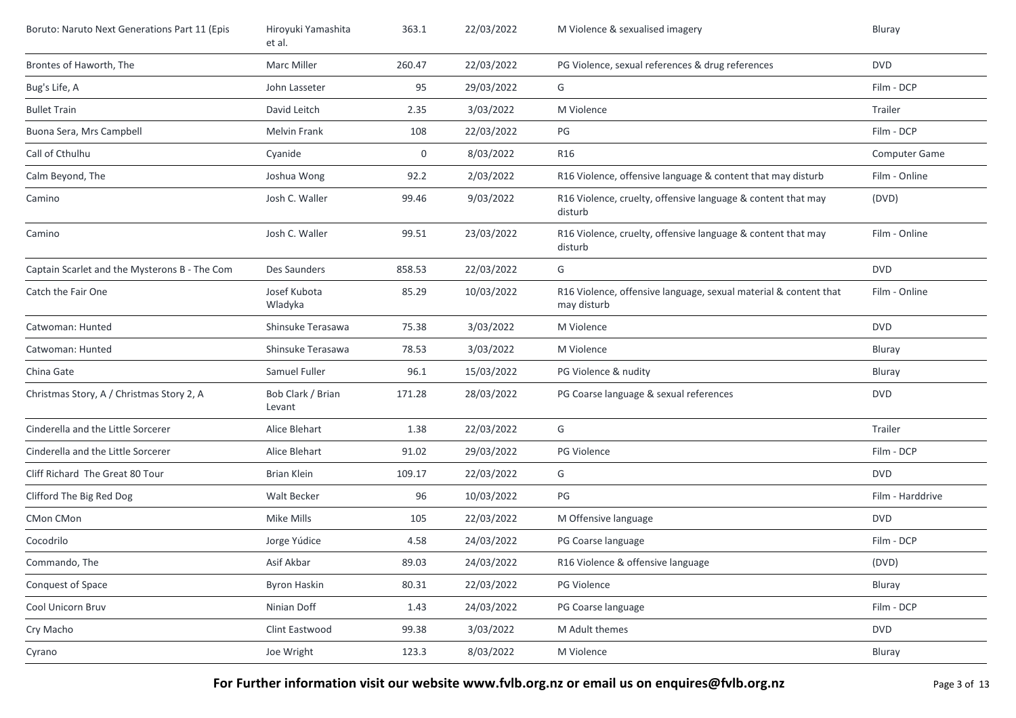| Boruto: Naruto Next Generations Part 11 (Epis | Hiroyuki Yamashita<br>et al. | 363.1  | 22/03/2022 | M Violence & sexualised imagery                                                 | Bluray               |
|-----------------------------------------------|------------------------------|--------|------------|---------------------------------------------------------------------------------|----------------------|
| Brontes of Haworth, The                       | Marc Miller                  | 260.47 | 22/03/2022 | PG Violence, sexual references & drug references                                | <b>DVD</b>           |
| Bug's Life, A                                 | John Lasseter                | 95     | 29/03/2022 | G                                                                               | Film - DCP           |
| <b>Bullet Train</b>                           | David Leitch                 | 2.35   | 3/03/2022  | M Violence                                                                      | Trailer              |
| Buona Sera, Mrs Campbell                      | Melvin Frank                 | 108    | 22/03/2022 | PG                                                                              | Film - DCP           |
| Call of Cthulhu                               | Cyanide                      | 0      | 8/03/2022  | R16                                                                             | <b>Computer Game</b> |
| Calm Beyond, The                              | Joshua Wong                  | 92.2   | 2/03/2022  | R16 Violence, offensive language & content that may disturb                     | Film - Online        |
| Camino                                        | Josh C. Waller               | 99.46  | 9/03/2022  | R16 Violence, cruelty, offensive language & content that may<br>disturb         | (DVD)                |
| Camino                                        | Josh C. Waller               | 99.51  | 23/03/2022 | R16 Violence, cruelty, offensive language & content that may<br>disturb         | Film - Online        |
| Captain Scarlet and the Mysterons B - The Com | Des Saunders                 | 858.53 | 22/03/2022 | G                                                                               | <b>DVD</b>           |
| Catch the Fair One                            | Josef Kubota<br>Wladyka      | 85.29  | 10/03/2022 | R16 Violence, offensive language, sexual material & content that<br>may disturb | Film - Online        |
| Catwoman: Hunted                              | Shinsuke Terasawa            | 75.38  | 3/03/2022  | M Violence                                                                      | <b>DVD</b>           |
| Catwoman: Hunted                              | Shinsuke Terasawa            | 78.53  | 3/03/2022  | M Violence                                                                      | Bluray               |
| China Gate                                    | Samuel Fuller                | 96.1   | 15/03/2022 | PG Violence & nudity                                                            | Bluray               |
| Christmas Story, A / Christmas Story 2, A     | Bob Clark / Brian<br>Levant  | 171.28 | 28/03/2022 | PG Coarse language & sexual references                                          | <b>DVD</b>           |
| Cinderella and the Little Sorcerer            | Alice Blehart                | 1.38   | 22/03/2022 | G                                                                               | Trailer              |
| Cinderella and the Little Sorcerer            | Alice Blehart                | 91.02  | 29/03/2022 | PG Violence                                                                     | Film - DCP           |
| Cliff Richard The Great 80 Tour               | <b>Brian Klein</b>           | 109.17 | 22/03/2022 | G                                                                               | <b>DVD</b>           |
| Clifford The Big Red Dog                      | Walt Becker                  | 96     | 10/03/2022 | PG                                                                              | Film - Harddrive     |
| CMon CMon                                     | Mike Mills                   | 105    | 22/03/2022 | M Offensive language                                                            | <b>DVD</b>           |
| Cocodrilo                                     | Jorge Yúdice                 | 4.58   | 24/03/2022 | PG Coarse language                                                              | Film - DCP           |
| Commando, The                                 | Asif Akbar                   | 89.03  | 24/03/2022 | R16 Violence & offensive language                                               | (DVD)                |
| Conquest of Space                             | <b>Byron Haskin</b>          | 80.31  | 22/03/2022 | PG Violence                                                                     | Bluray               |
| Cool Unicorn Bruv                             | Ninian Doff                  | 1.43   | 24/03/2022 | PG Coarse language                                                              | Film - DCP           |
| Cry Macho                                     | Clint Eastwood               | 99.38  | 3/03/2022  | M Adult themes                                                                  | <b>DVD</b>           |
| Cyrano                                        | Joe Wright                   | 123.3  | 8/03/2022  | M Violence                                                                      | Bluray               |

For Further information visit our website www.fvlb.org.nz or email us on enquires@fvlb.org.nz<br>Page 3 of 13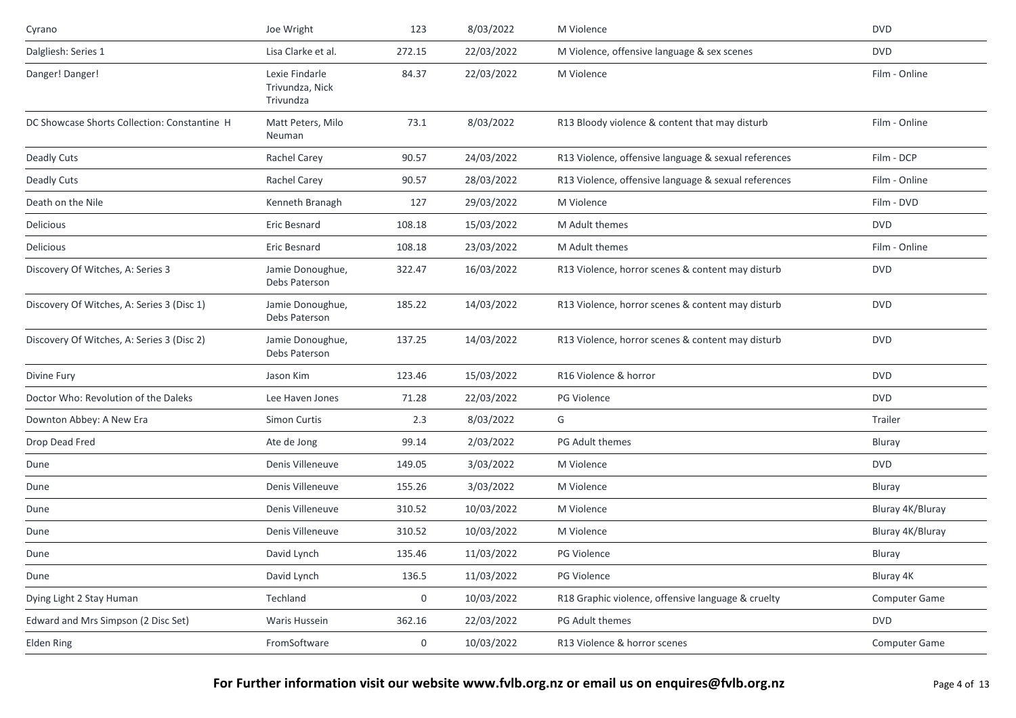| Joe Wright                                     | 123              | 8/03/2022  | M Violence                                           | <b>DVD</b>       |
|------------------------------------------------|------------------|------------|------------------------------------------------------|------------------|
| Lisa Clarke et al.                             | 272.15           | 22/03/2022 | M Violence, offensive language & sex scenes          | <b>DVD</b>       |
| Lexie Findarle<br>Trivundza, Nick<br>Trivundza | 84.37            | 22/03/2022 | M Violence                                           | Film - Online    |
| Matt Peters, Milo<br>Neuman                    | 73.1             | 8/03/2022  | R13 Bloody violence & content that may disturb       | Film - Online    |
| Rachel Carey                                   | 90.57            | 24/03/2022 | R13 Violence, offensive language & sexual references | Film - DCP       |
| Rachel Carey                                   | 90.57            | 28/03/2022 | R13 Violence, offensive language & sexual references | Film - Online    |
| Kenneth Branagh                                | 127              | 29/03/2022 | M Violence                                           | Film - DVD       |
| Eric Besnard                                   | 108.18           | 15/03/2022 | M Adult themes                                       | <b>DVD</b>       |
| Eric Besnard                                   | 108.18           | 23/03/2022 | M Adult themes                                       | Film - Online    |
| Jamie Donoughue,<br>Debs Paterson              | 322.47           | 16/03/2022 | R13 Violence, horror scenes & content may disturb    | <b>DVD</b>       |
| Jamie Donoughue,<br>Debs Paterson              | 185.22           | 14/03/2022 | R13 Violence, horror scenes & content may disturb    | <b>DVD</b>       |
| Jamie Donoughue,<br>Debs Paterson              | 137.25           | 14/03/2022 | R13 Violence, horror scenes & content may disturb    | <b>DVD</b>       |
| Jason Kim                                      | 123.46           | 15/03/2022 | R16 Violence & horror                                | <b>DVD</b>       |
| Lee Haven Jones                                | 71.28            | 22/03/2022 | PG Violence                                          | <b>DVD</b>       |
| Simon Curtis                                   | 2.3              | 8/03/2022  | G                                                    | Trailer          |
| Ate de Jong                                    | 99.14            | 2/03/2022  | PG Adult themes                                      | Bluray           |
| Denis Villeneuve                               | 149.05           | 3/03/2022  | M Violence                                           | <b>DVD</b>       |
| Denis Villeneuve                               | 155.26           | 3/03/2022  | M Violence                                           | Bluray           |
| Denis Villeneuve                               | 310.52           | 10/03/2022 | M Violence                                           | Bluray 4K/Bluray |
| Denis Villeneuve                               | 310.52           | 10/03/2022 | M Violence                                           | Bluray 4K/Bluray |
| David Lynch                                    | 135.46           | 11/03/2022 | PG Violence                                          | Bluray           |
| David Lynch                                    | 136.5            | 11/03/2022 | PG Violence                                          | Bluray 4K        |
| Techland                                       | $\boldsymbol{0}$ | 10/03/2022 | R18 Graphic violence, offensive language & cruelty   | Computer Game    |
| Waris Hussein                                  | 362.16           | 22/03/2022 | PG Adult themes                                      | <b>DVD</b>       |
| FromSoftware                                   | 0                | 10/03/2022 | R13 Violence & horror scenes                         | Computer Game    |
|                                                |                  |            |                                                      |                  |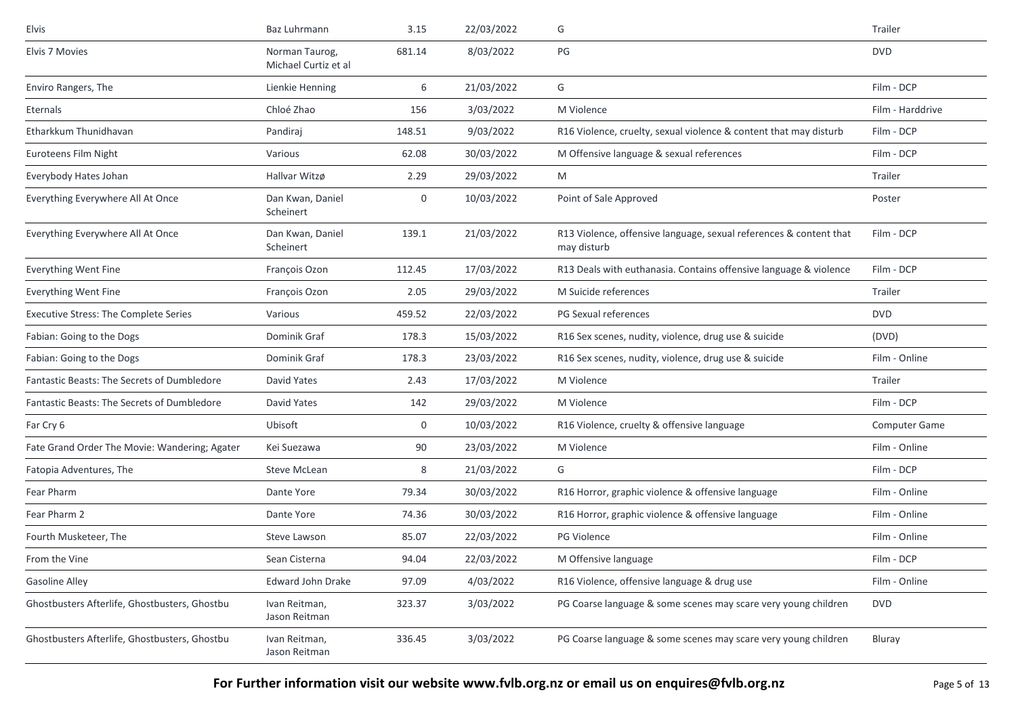| Elvis                                         | <b>Baz Luhrmann</b>                    | 3.15   | 22/03/2022 | G                                                                                 | Trailer          |
|-----------------------------------------------|----------------------------------------|--------|------------|-----------------------------------------------------------------------------------|------------------|
| Elvis 7 Movies                                | Norman Taurog,<br>Michael Curtiz et al | 681.14 | 8/03/2022  | $\mathsf{PG}$                                                                     | <b>DVD</b>       |
| Enviro Rangers, The                           | Lienkie Henning                        | 6      | 21/03/2022 | G                                                                                 | Film - DCP       |
| Eternals                                      | Chloé Zhao                             | 156    | 3/03/2022  | M Violence                                                                        | Film - Harddrive |
| Etharkkum Thunidhavan                         | Pandiraj                               | 148.51 | 9/03/2022  | R16 Violence, cruelty, sexual violence & content that may disturb                 | Film - DCP       |
| Euroteens Film Night                          | Various                                | 62.08  | 30/03/2022 | M Offensive language & sexual references                                          | Film - DCP       |
| Everybody Hates Johan                         | Hallvar Witzø                          | 2.29   | 29/03/2022 | M                                                                                 | Trailer          |
| Everything Everywhere All At Once             | Dan Kwan, Daniel<br>Scheinert          | 0      | 10/03/2022 | Point of Sale Approved                                                            | Poster           |
| Everything Everywhere All At Once             | Dan Kwan, Daniel<br>Scheinert          | 139.1  | 21/03/2022 | R13 Violence, offensive language, sexual references & content that<br>may disturb | Film - DCP       |
| Everything Went Fine                          | François Ozon                          | 112.45 | 17/03/2022 | R13 Deals with euthanasia. Contains offensive language & violence                 | Film - DCP       |
| Everything Went Fine                          | François Ozon                          | 2.05   | 29/03/2022 | M Suicide references                                                              | Trailer          |
| <b>Executive Stress: The Complete Series</b>  | Various                                | 459.52 | 22/03/2022 | PG Sexual references                                                              | <b>DVD</b>       |
| Fabian: Going to the Dogs                     | Dominik Graf                           | 178.3  | 15/03/2022 | R16 Sex scenes, nudity, violence, drug use & suicide                              | (DVD)            |
| Fabian: Going to the Dogs                     | Dominik Graf                           | 178.3  | 23/03/2022 | R16 Sex scenes, nudity, violence, drug use & suicide                              | Film - Online    |
| Fantastic Beasts: The Secrets of Dumbledore   | David Yates                            | 2.43   | 17/03/2022 | M Violence                                                                        | Trailer          |
| Fantastic Beasts: The Secrets of Dumbledore   | David Yates                            | 142    | 29/03/2022 | M Violence                                                                        | Film - DCP       |
| Far Cry 6                                     | Ubisoft                                | 0      | 10/03/2022 | R16 Violence, cruelty & offensive language                                        | Computer Game    |
| Fate Grand Order The Movie: Wandering; Agater | Kei Suezawa                            | 90     | 23/03/2022 | M Violence                                                                        | Film - Online    |
| Fatopia Adventures, The                       | Steve McLean                           | 8      | 21/03/2022 | G                                                                                 | Film - DCP       |
| Fear Pharm                                    | Dante Yore                             | 79.34  | 30/03/2022 | R16 Horror, graphic violence & offensive language                                 | Film - Online    |
| Fear Pharm 2                                  | Dante Yore                             | 74.36  | 30/03/2022 | R16 Horror, graphic violence & offensive language                                 | Film - Online    |
| Fourth Musketeer, The                         | Steve Lawson                           | 85.07  | 22/03/2022 | <b>PG Violence</b>                                                                | Film - Online    |
| From the Vine                                 | Sean Cisterna                          | 94.04  | 22/03/2022 | M Offensive language                                                              | Film - DCP       |
| <b>Gasoline Alley</b>                         | Edward John Drake                      | 97.09  | 4/03/2022  | R16 Violence, offensive language & drug use                                       | Film - Online    |
| Ghostbusters Afterlife, Ghostbusters, Ghostbu | Ivan Reitman,<br>Jason Reitman         | 323.37 | 3/03/2022  | PG Coarse language & some scenes may scare very young children                    | <b>DVD</b>       |
| Ghostbusters Afterlife, Ghostbusters, Ghostbu | Ivan Reitman,<br>Jason Reitman         | 336.45 | 3/03/2022  | PG Coarse language & some scenes may scare very young children                    | Bluray           |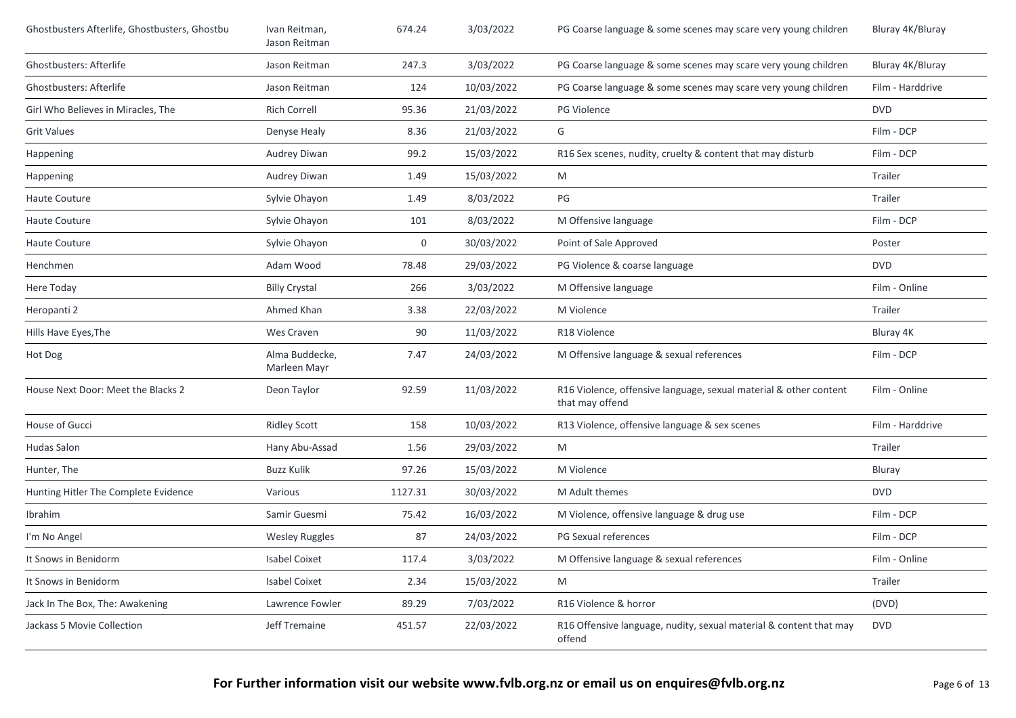| Ghostbusters Afterlife, Ghostbusters, Ghostbu | Ivan Reitman,<br>Jason Reitman | 674.24  | 3/03/2022  | PG Coarse language & some scenes may scare very young children                       | Bluray 4K/Bluray |
|-----------------------------------------------|--------------------------------|---------|------------|--------------------------------------------------------------------------------------|------------------|
| Ghostbusters: Afterlife                       | Jason Reitman                  | 247.3   | 3/03/2022  | PG Coarse language & some scenes may scare very young children                       | Bluray 4K/Bluray |
| <b>Ghostbusters: Afterlife</b>                | Jason Reitman                  | 124     | 10/03/2022 | PG Coarse language & some scenes may scare very young children                       | Film - Harddrive |
| Girl Who Believes in Miracles, The            | <b>Rich Correll</b>            | 95.36   | 21/03/2022 | PG Violence                                                                          | <b>DVD</b>       |
| <b>Grit Values</b>                            | Denyse Healy                   | 8.36    | 21/03/2022 | G                                                                                    | Film - DCP       |
| Happening                                     | Audrey Diwan                   | 99.2    | 15/03/2022 | R16 Sex scenes, nudity, cruelty & content that may disturb                           | Film - DCP       |
| Happening                                     | Audrey Diwan                   | 1.49    | 15/03/2022 | M                                                                                    | Trailer          |
| Haute Couture                                 | Sylvie Ohayon                  | 1.49    | 8/03/2022  | PG                                                                                   | Trailer          |
| Haute Couture                                 | Sylvie Ohayon                  | 101     | 8/03/2022  | M Offensive language                                                                 | Film - DCP       |
| Haute Couture                                 | Sylvie Ohayon                  | 0       | 30/03/2022 | Point of Sale Approved                                                               | Poster           |
| Henchmen                                      | Adam Wood                      | 78.48   | 29/03/2022 | PG Violence & coarse language                                                        | <b>DVD</b>       |
| Here Today                                    | <b>Billy Crystal</b>           | 266     | 3/03/2022  | M Offensive language                                                                 | Film - Online    |
| Heropanti 2                                   | Ahmed Khan                     | 3.38    | 22/03/2022 | M Violence                                                                           | Trailer          |
| Hills Have Eyes, The                          | Wes Craven                     | 90      | 11/03/2022 | R18 Violence                                                                         | Bluray 4K        |
| Hot Dog                                       | Alma Buddecke,<br>Marleen Mayr | 7.47    | 24/03/2022 | M Offensive language & sexual references                                             | Film - DCP       |
| House Next Door: Meet the Blacks 2            | Deon Taylor                    | 92.59   | 11/03/2022 | R16 Violence, offensive language, sexual material & other content<br>that may offend | Film - Online    |
| House of Gucci                                | <b>Ridley Scott</b>            | 158     | 10/03/2022 | R13 Violence, offensive language & sex scenes                                        | Film - Harddrive |
| <b>Hudas Salon</b>                            | Hany Abu-Assad                 | 1.56    | 29/03/2022 | M                                                                                    | Trailer          |
| Hunter, The                                   | <b>Buzz Kulik</b>              | 97.26   | 15/03/2022 | M Violence                                                                           | Bluray           |
| Hunting Hitler The Complete Evidence          | Various                        | 1127.31 | 30/03/2022 | M Adult themes                                                                       | <b>DVD</b>       |
| Ibrahim                                       | Samir Guesmi                   | 75.42   | 16/03/2022 | M Violence, offensive language & drug use                                            | Film - DCP       |
| I'm No Angel                                  | <b>Wesley Ruggles</b>          | 87      | 24/03/2022 | PG Sexual references                                                                 | Film - DCP       |
| It Snows in Benidorm                          | <b>Isabel Coixet</b>           | 117.4   | 3/03/2022  | M Offensive language & sexual references                                             | Film - Online    |
| It Snows in Benidorm                          | <b>Isabel Coixet</b>           | 2.34    | 15/03/2022 | M                                                                                    | Trailer          |
| Jack In The Box, The: Awakening               | Lawrence Fowler                | 89.29   | 7/03/2022  | R16 Violence & horror                                                                | (DVD)            |
| Jackass 5 Movie Collection                    | Jeff Tremaine                  | 451.57  | 22/03/2022 | R16 Offensive language, nudity, sexual material & content that may<br>offend         | <b>DVD</b>       |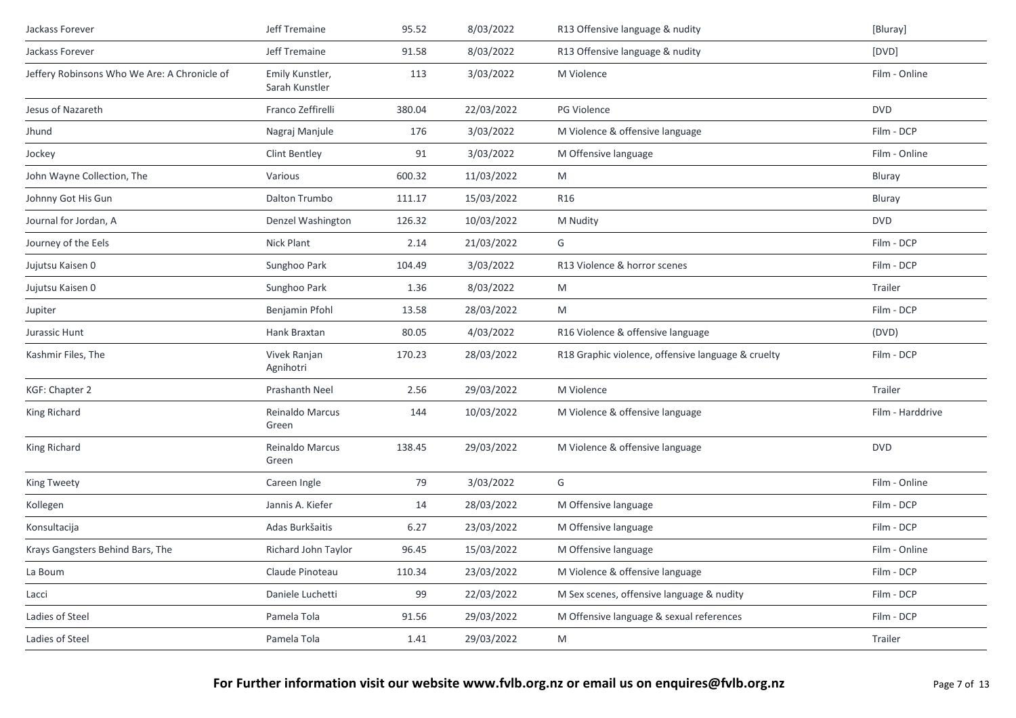| Jackass Forever                              | Jeff Tremaine                     | 95.52  | 8/03/2022  | R13 Offensive language & nudity                    | [Bluray]         |
|----------------------------------------------|-----------------------------------|--------|------------|----------------------------------------------------|------------------|
| Jackass Forever                              | Jeff Tremaine                     | 91.58  | 8/03/2022  | R13 Offensive language & nudity                    | [DVD]            |
| Jeffery Robinsons Who We Are: A Chronicle of | Emily Kunstler,<br>Sarah Kunstler | 113    | 3/03/2022  | M Violence                                         | Film - Online    |
| Jesus of Nazareth                            | Franco Zeffirelli                 | 380.04 | 22/03/2022 | PG Violence                                        | <b>DVD</b>       |
| Jhund                                        | Nagraj Manjule                    | 176    | 3/03/2022  | M Violence & offensive language                    | Film - DCP       |
| Jockey                                       | Clint Bentley                     | 91     | 3/03/2022  | M Offensive language                               | Film - Online    |
| John Wayne Collection, The                   | Various                           | 600.32 | 11/03/2022 | M                                                  | Bluray           |
| Johnny Got His Gun                           | Dalton Trumbo                     | 111.17 | 15/03/2022 | R <sub>16</sub>                                    | Bluray           |
| Journal for Jordan, A                        | Denzel Washington                 | 126.32 | 10/03/2022 | M Nudity                                           | <b>DVD</b>       |
| Journey of the Eels                          | Nick Plant                        | 2.14   | 21/03/2022 | G                                                  | Film - DCP       |
| Jujutsu Kaisen 0                             | Sunghoo Park                      | 104.49 | 3/03/2022  | R13 Violence & horror scenes                       | Film - DCP       |
| Jujutsu Kaisen 0                             | Sunghoo Park                      | 1.36   | 8/03/2022  | M                                                  | Trailer          |
| Jupiter                                      | Benjamin Pfohl                    | 13.58  | 28/03/2022 | M                                                  | Film - DCP       |
| Jurassic Hunt                                | Hank Braxtan                      | 80.05  | 4/03/2022  | R16 Violence & offensive language                  | (DVD)            |
| Kashmir Files, The                           | Vivek Ranjan<br>Agnihotri         | 170.23 | 28/03/2022 | R18 Graphic violence, offensive language & cruelty | Film - DCP       |
| KGF: Chapter 2                               | Prashanth Neel                    | 2.56   | 29/03/2022 | M Violence                                         | Trailer          |
| King Richard                                 | Reinaldo Marcus<br>Green          | 144    | 10/03/2022 | M Violence & offensive language                    | Film - Harddrive |
| King Richard                                 | Reinaldo Marcus<br>Green          | 138.45 | 29/03/2022 | M Violence & offensive language                    | <b>DVD</b>       |
| King Tweety                                  | Careen Ingle                      | 79     | 3/03/2022  | G                                                  | Film - Online    |
| Kollegen                                     | Jannis A. Kiefer                  | 14     | 28/03/2022 | M Offensive language                               | Film - DCP       |
| Konsultacija                                 | Adas Burkšaitis                   | 6.27   | 23/03/2022 | M Offensive language                               | Film - DCP       |
| Krays Gangsters Behind Bars, The             | Richard John Taylor               | 96.45  | 15/03/2022 | M Offensive language                               | Film - Online    |
| La Boum                                      | Claude Pinoteau                   | 110.34 | 23/03/2022 | M Violence & offensive language                    | Film - DCP       |
| Lacci                                        | Daniele Luchetti                  | 99     | 22/03/2022 | M Sex scenes, offensive language & nudity          | Film - DCP       |
| Ladies of Steel                              | Pamela Tola                       | 91.56  | 29/03/2022 | M Offensive language & sexual references           | Film - DCP       |
| Ladies of Steel                              | Pamela Tola                       | 1.41   | 29/03/2022 | M                                                  | Trailer          |
|                                              |                                   |        |            |                                                    |                  |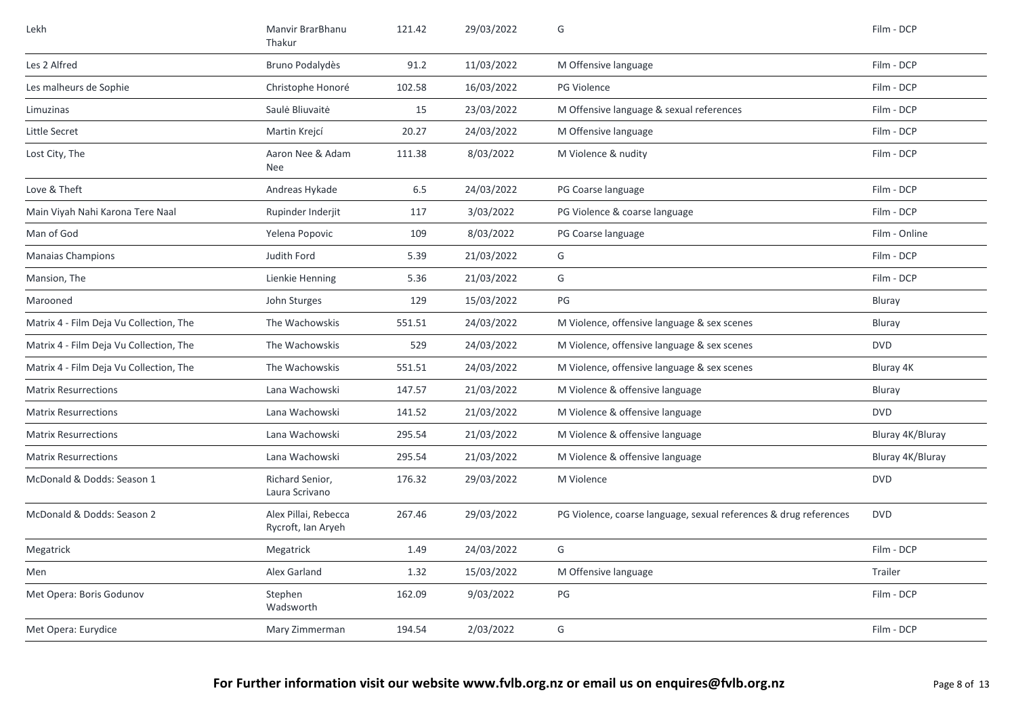| Lekh                                    | Manvir BrarBhanu<br>Thakur                 | 121.42 | 29/03/2022 | G                                                                 | Film - DCP       |
|-----------------------------------------|--------------------------------------------|--------|------------|-------------------------------------------------------------------|------------------|
| Les 2 Alfred                            | Bruno Podalydès                            | 91.2   | 11/03/2022 | M Offensive language                                              | Film - DCP       |
| Les malheurs de Sophie                  | Christophe Honoré                          | 102.58 | 16/03/2022 | PG Violence                                                       | Film - DCP       |
| Limuzinas                               | Saulė Bliuvaitė                            | 15     | 23/03/2022 | M Offensive language & sexual references                          | Film - DCP       |
| Little Secret                           | Martin Krejcí                              | 20.27  | 24/03/2022 | M Offensive language                                              | Film - DCP       |
| Lost City, The                          | Aaron Nee & Adam<br>Nee                    | 111.38 | 8/03/2022  | M Violence & nudity                                               | Film - DCP       |
| Love & Theft                            | Andreas Hykade                             | 6.5    | 24/03/2022 | PG Coarse language                                                | Film - DCP       |
| Main Viyah Nahi Karona Tere Naal        | Rupinder Inderjit                          | 117    | 3/03/2022  | PG Violence & coarse language                                     | Film - DCP       |
| Man of God                              | Yelena Popovic                             | 109    | 8/03/2022  | PG Coarse language                                                | Film - Online    |
| <b>Manaias Champions</b>                | Judith Ford                                | 5.39   | 21/03/2022 | G                                                                 | Film - DCP       |
| Mansion, The                            | Lienkie Henning                            | 5.36   | 21/03/2022 | G                                                                 | Film - DCP       |
| Marooned                                | John Sturges                               | 129    | 15/03/2022 | PG                                                                | Bluray           |
| Matrix 4 - Film Deja Vu Collection, The | The Wachowskis                             | 551.51 | 24/03/2022 | M Violence, offensive language & sex scenes                       | Bluray           |
| Matrix 4 - Film Deja Vu Collection, The | The Wachowskis                             | 529    | 24/03/2022 | M Violence, offensive language & sex scenes                       | <b>DVD</b>       |
| Matrix 4 - Film Deja Vu Collection, The | The Wachowskis                             | 551.51 | 24/03/2022 | M Violence, offensive language & sex scenes                       | Bluray 4K        |
| <b>Matrix Resurrections</b>             | Lana Wachowski                             | 147.57 | 21/03/2022 | M Violence & offensive language                                   | Bluray           |
| <b>Matrix Resurrections</b>             | Lana Wachowski                             | 141.52 | 21/03/2022 | M Violence & offensive language                                   | <b>DVD</b>       |
| <b>Matrix Resurrections</b>             | Lana Wachowski                             | 295.54 | 21/03/2022 | M Violence & offensive language                                   | Bluray 4K/Bluray |
| <b>Matrix Resurrections</b>             | Lana Wachowski                             | 295.54 | 21/03/2022 | M Violence & offensive language                                   | Bluray 4K/Bluray |
| McDonald & Dodds: Season 1              | Richard Senior,<br>Laura Scrivano          | 176.32 | 29/03/2022 | M Violence                                                        | <b>DVD</b>       |
| McDonald & Dodds: Season 2              | Alex Pillai, Rebecca<br>Rycroft, Ian Aryeh | 267.46 | 29/03/2022 | PG Violence, coarse language, sexual references & drug references | <b>DVD</b>       |
| Megatrick                               | Megatrick                                  | 1.49   | 24/03/2022 | G                                                                 | Film - DCP       |
| Men                                     | Alex Garland                               | 1.32   | 15/03/2022 | M Offensive language                                              | Trailer          |
| Met Opera: Boris Godunov                | Stephen<br>Wadsworth                       | 162.09 | 9/03/2022  | PG                                                                | Film - DCP       |
| Met Opera: Eurydice                     | Mary Zimmerman                             | 194.54 | 2/03/2022  | G                                                                 | Film - DCP       |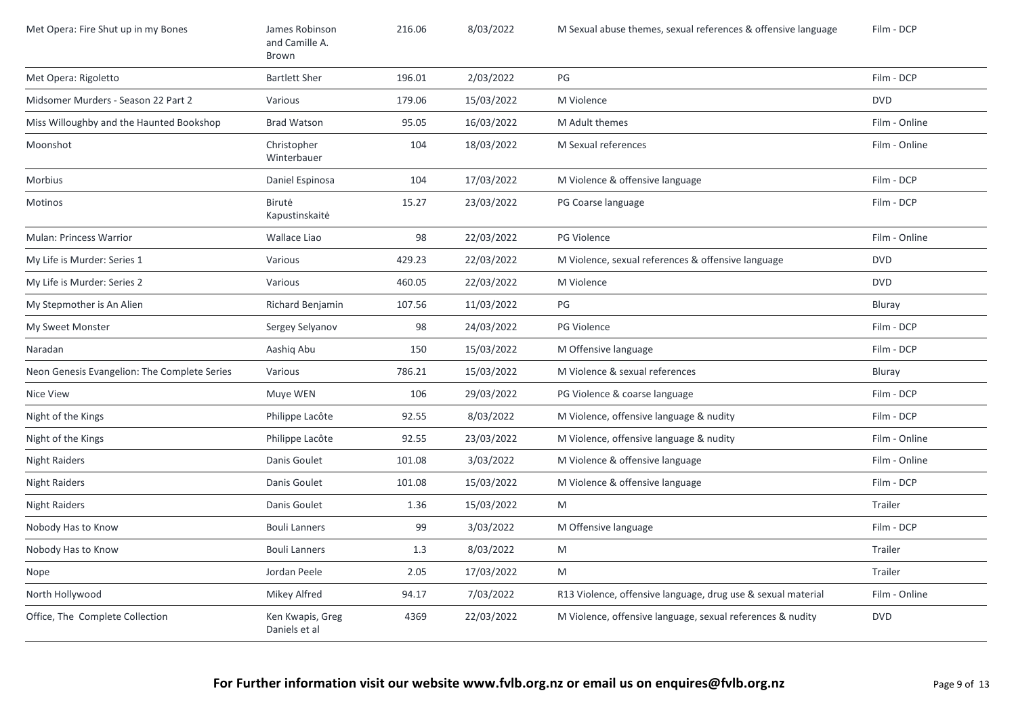| Met Opera: Fire Shut up in my Bones          | James Robinson<br>and Camille A.<br>Brown | 216.06 | 8/03/2022  | M Sexual abuse themes, sexual references & offensive language | Film - DCP    |
|----------------------------------------------|-------------------------------------------|--------|------------|---------------------------------------------------------------|---------------|
| Met Opera: Rigoletto                         | <b>Bartlett Sher</b>                      | 196.01 | 2/03/2022  | PG                                                            | Film - DCP    |
| Midsomer Murders - Season 22 Part 2          | Various                                   | 179.06 | 15/03/2022 | M Violence                                                    | <b>DVD</b>    |
| Miss Willoughby and the Haunted Bookshop     | <b>Brad Watson</b>                        | 95.05  | 16/03/2022 | M Adult themes                                                | Film - Online |
| Moonshot                                     | Christopher<br>Winterbauer                | 104    | 18/03/2022 | M Sexual references                                           | Film - Online |
| Morbius                                      | Daniel Espinosa                           | 104    | 17/03/2022 | M Violence & offensive language                               | Film - DCP    |
| Motinos                                      | Birutė<br>Kapustinskaitė                  | 15.27  | 23/03/2022 | PG Coarse language                                            | Film - DCP    |
| <b>Mulan: Princess Warrior</b>               | Wallace Liao                              | 98     | 22/03/2022 | PG Violence                                                   | Film - Online |
| My Life is Murder: Series 1                  | Various                                   | 429.23 | 22/03/2022 | M Violence, sexual references & offensive language            | <b>DVD</b>    |
| My Life is Murder: Series 2                  | Various                                   | 460.05 | 22/03/2022 | M Violence                                                    | <b>DVD</b>    |
| My Stepmother is An Alien                    | Richard Benjamin                          | 107.56 | 11/03/2022 | PG                                                            | Bluray        |
| My Sweet Monster                             | Sergey Selyanov                           | 98     | 24/03/2022 | PG Violence                                                   | Film - DCP    |
| Naradan                                      | Aashiq Abu                                | 150    | 15/03/2022 | M Offensive language                                          | Film - DCP    |
| Neon Genesis Evangelion: The Complete Series | Various                                   | 786.21 | 15/03/2022 | M Violence & sexual references                                | Bluray        |
| Nice View                                    | Muye WEN                                  | 106    | 29/03/2022 | PG Violence & coarse language                                 | Film - DCP    |
| Night of the Kings                           | Philippe Lacôte                           | 92.55  | 8/03/2022  | M Violence, offensive language & nudity                       | Film - DCP    |
| Night of the Kings                           | Philippe Lacôte                           | 92.55  | 23/03/2022 | M Violence, offensive language & nudity                       | Film - Online |
| <b>Night Raiders</b>                         | Danis Goulet                              | 101.08 | 3/03/2022  | M Violence & offensive language                               | Film - Online |
| <b>Night Raiders</b>                         | Danis Goulet                              | 101.08 | 15/03/2022 | M Violence & offensive language                               | Film - DCP    |
| <b>Night Raiders</b>                         | Danis Goulet                              | 1.36   | 15/03/2022 | M                                                             | Trailer       |
| Nobody Has to Know                           | <b>Bouli Lanners</b>                      | 99     | 3/03/2022  | M Offensive language                                          | Film - DCP    |
| Nobody Has to Know                           | <b>Bouli Lanners</b>                      | 1.3    | 8/03/2022  | M                                                             | Trailer       |
| Nope                                         | Jordan Peele                              | 2.05   | 17/03/2022 | M                                                             | Trailer       |
| North Hollywood                              | Mikey Alfred                              | 94.17  | 7/03/2022  | R13 Violence, offensive language, drug use & sexual material  | Film - Online |
| Office, The Complete Collection              | Ken Kwapis, Greg<br>Daniels et al         | 4369   | 22/03/2022 | M Violence, offensive language, sexual references & nudity    | <b>DVD</b>    |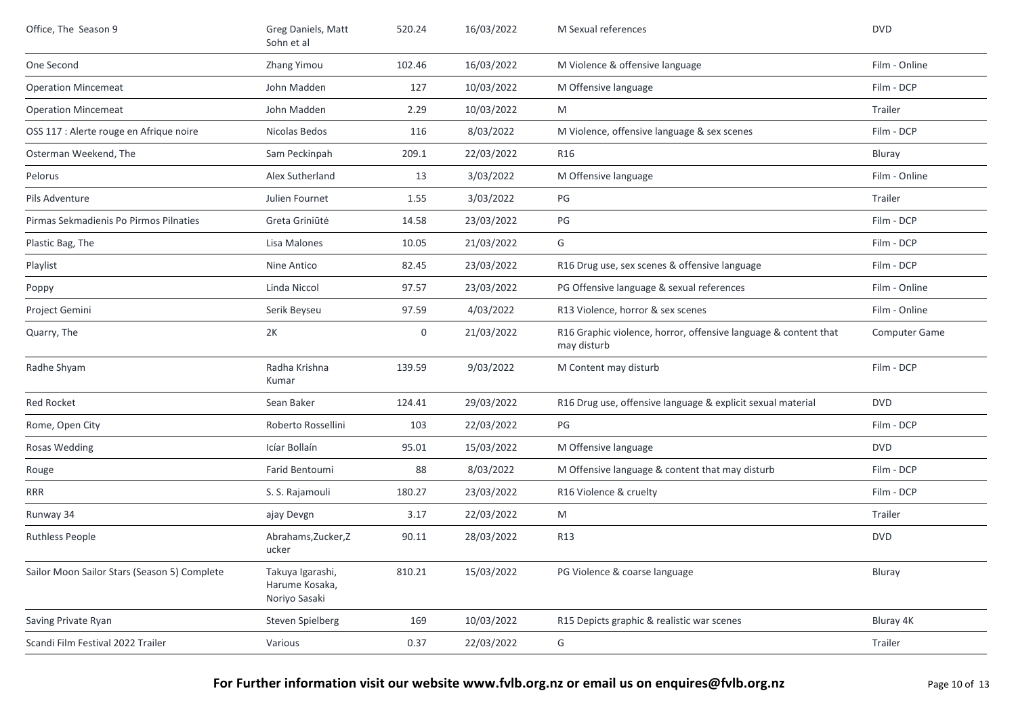| Office, The Season 9                         | Greg Daniels, Matt<br>Sohn et al                    | 520.24 | 16/03/2022 | M Sexual references                                                            | <b>DVD</b>           |
|----------------------------------------------|-----------------------------------------------------|--------|------------|--------------------------------------------------------------------------------|----------------------|
| One Second                                   | Zhang Yimou                                         | 102.46 | 16/03/2022 | M Violence & offensive language                                                | Film - Online        |
| <b>Operation Mincemeat</b>                   | John Madden                                         | 127    | 10/03/2022 | M Offensive language                                                           | Film - DCP           |
| <b>Operation Mincemeat</b>                   | John Madden                                         | 2.29   | 10/03/2022 | M                                                                              | Trailer              |
| OSS 117 : Alerte rouge en Afrique noire      | Nicolas Bedos                                       | 116    | 8/03/2022  | M Violence, offensive language & sex scenes                                    | Film - DCP           |
| Osterman Weekend, The                        | Sam Peckinpah                                       | 209.1  | 22/03/2022 | R <sub>16</sub>                                                                | Bluray               |
| Pelorus                                      | Alex Sutherland                                     | 13     | 3/03/2022  | M Offensive language                                                           | Film - Online        |
| Pils Adventure                               | Julien Fournet                                      | 1.55   | 3/03/2022  | PG                                                                             | Trailer              |
| Pirmas Sekmadienis Po Pirmos Pilnaties       | Greta Griniūtė                                      | 14.58  | 23/03/2022 | PG                                                                             | Film - DCP           |
| Plastic Bag, The                             | Lisa Malones                                        | 10.05  | 21/03/2022 | G                                                                              | Film - DCP           |
| Playlist                                     | Nine Antico                                         | 82.45  | 23/03/2022 | R16 Drug use, sex scenes & offensive language                                  | Film - DCP           |
| Poppy                                        | Linda Niccol                                        | 97.57  | 23/03/2022 | PG Offensive language & sexual references                                      | Film - Online        |
| Project Gemini                               | Serik Beyseu                                        | 97.59  | 4/03/2022  | R13 Violence, horror & sex scenes                                              | Film - Online        |
| Quarry, The                                  | 2K                                                  | 0      | 21/03/2022 | R16 Graphic violence, horror, offensive language & content that<br>may disturb | <b>Computer Game</b> |
| Radhe Shyam                                  | Radha Krishna<br>Kumar                              | 139.59 | 9/03/2022  | M Content may disturb                                                          | Film - DCP           |
| Red Rocket                                   | Sean Baker                                          | 124.41 | 29/03/2022 | R16 Drug use, offensive language & explicit sexual material                    | <b>DVD</b>           |
| Rome, Open City                              | Roberto Rossellini                                  | 103    | 22/03/2022 | PG                                                                             | Film - DCP           |
| Rosas Wedding                                | Icíar Bollaín                                       | 95.01  | 15/03/2022 | M Offensive language                                                           | <b>DVD</b>           |
| Rouge                                        | Farid Bentoumi                                      | 88     | 8/03/2022  | M Offensive language & content that may disturb                                | Film - DCP           |
| <b>RRR</b>                                   | S. S. Rajamouli                                     | 180.27 | 23/03/2022 | R16 Violence & cruelty                                                         | Film - DCP           |
| Runway 34                                    | ajay Devgn                                          | 3.17   | 22/03/2022 | ${\sf M}$                                                                      | Trailer              |
| <b>Ruthless People</b>                       | Abrahams, Zucker, Z<br>ucker                        | 90.11  | 28/03/2022 | R13                                                                            | <b>DVD</b>           |
| Sailor Moon Sailor Stars (Season 5) Complete | Takuya Igarashi,<br>Harume Kosaka,<br>Noriyo Sasaki | 810.21 | 15/03/2022 | PG Violence & coarse language                                                  | Bluray               |
| Saving Private Ryan                          | <b>Steven Spielberg</b>                             | 169    | 10/03/2022 | R15 Depicts graphic & realistic war scenes                                     | Bluray 4K            |
| Scandi Film Festival 2022 Trailer            | Various                                             | 0.37   | 22/03/2022 | G                                                                              | Trailer              |
|                                              |                                                     |        |            |                                                                                |                      |

**For Further information visit our website www.fvlb.org.nz or email us on enquires@fvlb.org.nz** Page 10 of 13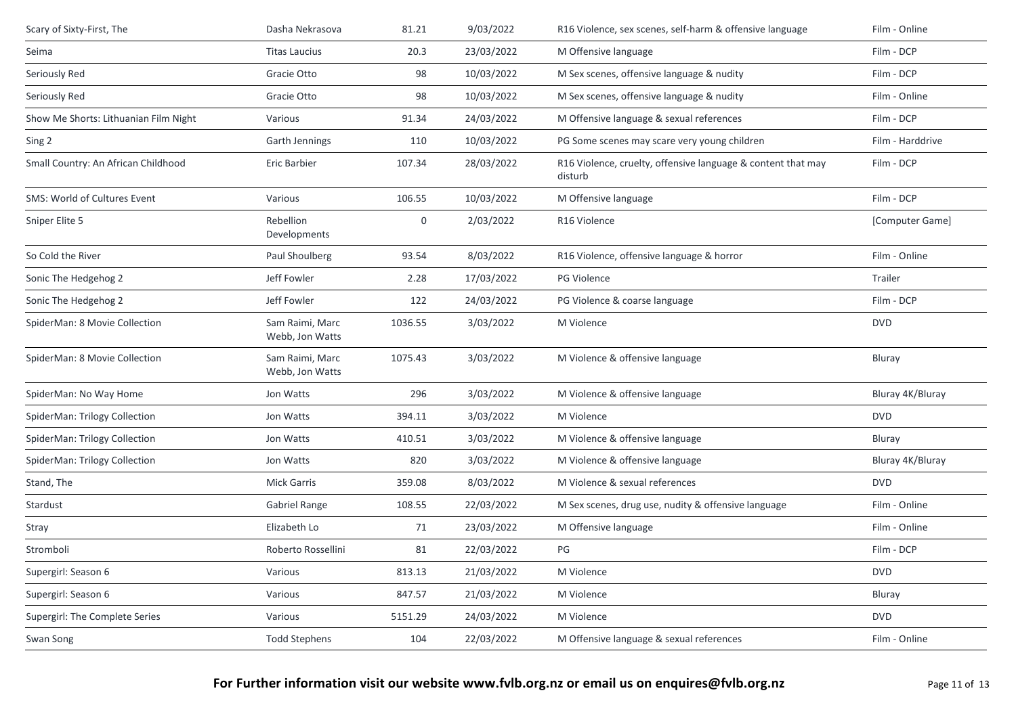| Scary of Sixty-First, The             | Dasha Nekrasova                    | 81.21            | 9/03/2022  | R16 Violence, sex scenes, self-harm & offensive language                | Film - Online    |
|---------------------------------------|------------------------------------|------------------|------------|-------------------------------------------------------------------------|------------------|
| Seima                                 | <b>Titas Laucius</b>               | 20.3             | 23/03/2022 | M Offensive language                                                    | Film - DCP       |
| Seriously Red                         | Gracie Otto                        | 98               | 10/03/2022 | M Sex scenes, offensive language & nudity                               | Film - DCP       |
| Seriously Red                         | Gracie Otto                        | 98               | 10/03/2022 | M Sex scenes, offensive language & nudity                               | Film - Online    |
| Show Me Shorts: Lithuanian Film Night | Various                            | 91.34            | 24/03/2022 | M Offensive language & sexual references                                | Film - DCP       |
| Sing 2                                | Garth Jennings                     | 110              | 10/03/2022 | PG Some scenes may scare very young children                            | Film - Harddrive |
| Small Country: An African Childhood   | Eric Barbier                       | 107.34           | 28/03/2022 | R16 Violence, cruelty, offensive language & content that may<br>disturb | Film - DCP       |
| SMS: World of Cultures Event          | Various                            | 106.55           | 10/03/2022 | M Offensive language                                                    | Film - DCP       |
| Sniper Elite 5                        | Rebellion<br>Developments          | $\boldsymbol{0}$ | 2/03/2022  | R16 Violence                                                            | [Computer Game]  |
| So Cold the River                     | Paul Shoulberg                     | 93.54            | 8/03/2022  | R16 Violence, offensive language & horror                               | Film - Online    |
| Sonic The Hedgehog 2                  | Jeff Fowler                        | 2.28             | 17/03/2022 | PG Violence                                                             | Trailer          |
| Sonic The Hedgehog 2                  | Jeff Fowler                        | 122              | 24/03/2022 | PG Violence & coarse language                                           | Film - DCP       |
| SpiderMan: 8 Movie Collection         | Sam Raimi, Marc<br>Webb, Jon Watts | 1036.55          | 3/03/2022  | M Violence                                                              | <b>DVD</b>       |
| SpiderMan: 8 Movie Collection         | Sam Raimi, Marc<br>Webb, Jon Watts | 1075.43          | 3/03/2022  | M Violence & offensive language                                         | Bluray           |
| SpiderMan: No Way Home                | Jon Watts                          | 296              | 3/03/2022  | M Violence & offensive language                                         | Bluray 4K/Bluray |
| SpiderMan: Trilogy Collection         | Jon Watts                          | 394.11           | 3/03/2022  | M Violence                                                              | <b>DVD</b>       |
| SpiderMan: Trilogy Collection         | Jon Watts                          | 410.51           | 3/03/2022  | M Violence & offensive language                                         | Bluray           |
| SpiderMan: Trilogy Collection         | Jon Watts                          | 820              | 3/03/2022  | M Violence & offensive language                                         | Bluray 4K/Bluray |
| Stand, The                            | <b>Mick Garris</b>                 | 359.08           | 8/03/2022  | M Violence & sexual references                                          | <b>DVD</b>       |
| Stardust                              | Gabriel Range                      | 108.55           | 22/03/2022 | M Sex scenes, drug use, nudity & offensive language                     | Film - Online    |
| Stray                                 | Elizabeth Lo                       | 71               | 23/03/2022 | M Offensive language                                                    | Film - Online    |
| Stromboli                             | Roberto Rossellini                 | 81               | 22/03/2022 | PG                                                                      | Film - DCP       |
| Supergirl: Season 6                   | Various                            | 813.13           | 21/03/2022 | M Violence                                                              | <b>DVD</b>       |
| Supergirl: Season 6                   | Various                            | 847.57           | 21/03/2022 | M Violence                                                              | Bluray           |
| Supergirl: The Complete Series        | Various                            | 5151.29          | 24/03/2022 | M Violence                                                              | <b>DVD</b>       |
| Swan Song                             | <b>Todd Stephens</b>               | 104              | 22/03/2022 | M Offensive language & sexual references                                | Film - Online    |
|                                       |                                    |                  |            |                                                                         |                  |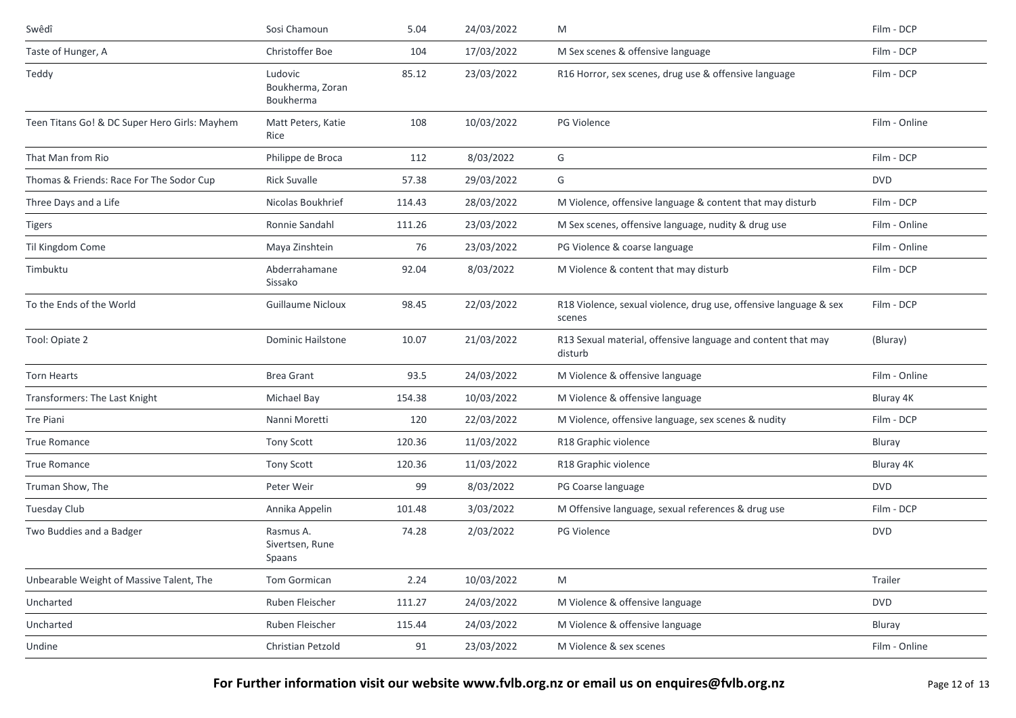| Swêdî                                         | Sosi Chamoun                             | 5.04   | 24/03/2022 | M                                                                           | Film - DCP    |
|-----------------------------------------------|------------------------------------------|--------|------------|-----------------------------------------------------------------------------|---------------|
| Taste of Hunger, A                            | Christoffer Boe                          | 104    | 17/03/2022 | M Sex scenes & offensive language                                           | Film - DCP    |
| Teddy                                         | Ludovic<br>Boukherma, Zoran<br>Boukherma | 85.12  | 23/03/2022 | R16 Horror, sex scenes, drug use & offensive language                       | Film - DCP    |
| Teen Titans Go! & DC Super Hero Girls: Mayhem | Matt Peters, Katie<br>Rice               | 108    | 10/03/2022 | PG Violence                                                                 | Film - Online |
| That Man from Rio                             | Philippe de Broca                        | 112    | 8/03/2022  | G                                                                           | Film - DCP    |
| Thomas & Friends: Race For The Sodor Cup      | <b>Rick Suvalle</b>                      | 57.38  | 29/03/2022 | G                                                                           | <b>DVD</b>    |
| Three Days and a Life                         | Nicolas Boukhrief                        | 114.43 | 28/03/2022 | M Violence, offensive language & content that may disturb                   | Film - DCP    |
| Tigers                                        | Ronnie Sandahl                           | 111.26 | 23/03/2022 | M Sex scenes, offensive language, nudity & drug use                         | Film - Online |
| Til Kingdom Come                              | Maya Zinshtein                           | 76     | 23/03/2022 | PG Violence & coarse language                                               | Film - Online |
| Timbuktu                                      | Abderrahamane<br>Sissako                 | 92.04  | 8/03/2022  | M Violence & content that may disturb                                       | Film - DCP    |
| To the Ends of the World                      | <b>Guillaume Nicloux</b>                 | 98.45  | 22/03/2022 | R18 Violence, sexual violence, drug use, offensive language & sex<br>scenes | Film - DCP    |
| Tool: Opiate 2                                | Dominic Hailstone                        | 10.07  | 21/03/2022 | R13 Sexual material, offensive language and content that may<br>disturb     | (Bluray)      |
| <b>Torn Hearts</b>                            | <b>Brea Grant</b>                        | 93.5   | 24/03/2022 | M Violence & offensive language                                             | Film - Online |
| Transformers: The Last Knight                 | Michael Bay                              | 154.38 | 10/03/2022 | M Violence & offensive language                                             | Bluray 4K     |
| Tre Piani                                     | Nanni Moretti                            | 120    | 22/03/2022 | M Violence, offensive language, sex scenes & nudity                         | Film - DCP    |
| <b>True Romance</b>                           | <b>Tony Scott</b>                        | 120.36 | 11/03/2022 | R18 Graphic violence                                                        | Bluray        |
| <b>True Romance</b>                           | <b>Tony Scott</b>                        | 120.36 | 11/03/2022 | R18 Graphic violence                                                        | Bluray 4K     |
| Truman Show, The                              | Peter Weir                               | 99     | 8/03/2022  | PG Coarse language                                                          | <b>DVD</b>    |
| Tuesday Club                                  | Annika Appelin                           | 101.48 | 3/03/2022  | M Offensive language, sexual references & drug use                          | Film - DCP    |
| Two Buddies and a Badger                      | Rasmus A.<br>Sivertsen, Rune<br>Spaans   | 74.28  | 2/03/2022  | PG Violence                                                                 | <b>DVD</b>    |
| Unbearable Weight of Massive Talent, The      | Tom Gormican                             | 2.24   | 10/03/2022 | M                                                                           | Trailer       |
| Uncharted                                     | Ruben Fleischer                          | 111.27 | 24/03/2022 | M Violence & offensive language                                             | <b>DVD</b>    |
| Uncharted                                     | Ruben Fleischer                          | 115.44 | 24/03/2022 | M Violence & offensive language                                             | Bluray        |
| Undine                                        | Christian Petzold                        | 91     | 23/03/2022 | M Violence & sex scenes                                                     | Film - Online |

For Further information visit our website www.fvlb.org.nz or email us on enquires@fvlb.org.nz<br>Page 12 of 13